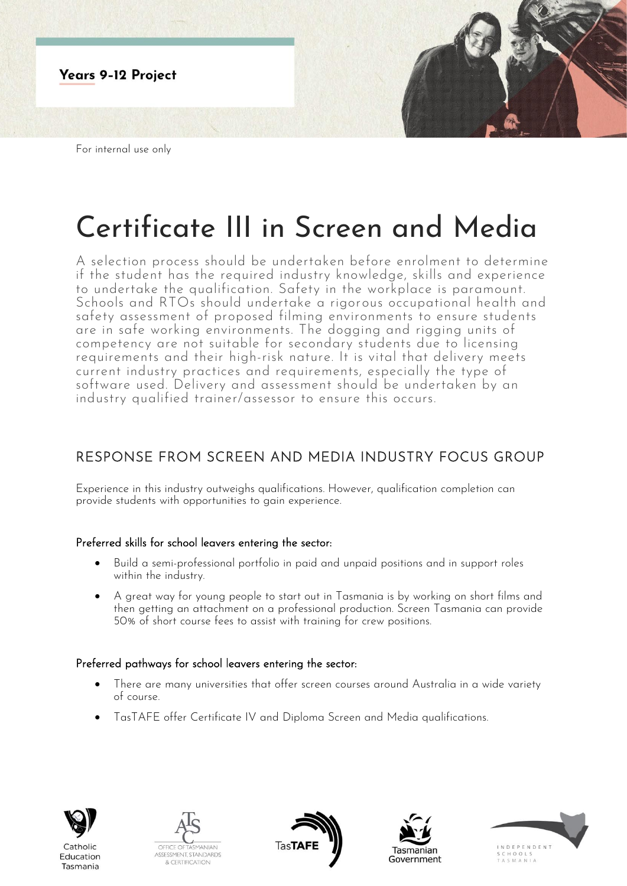

# Certificate III in Screen and Media

A selection process should be undertaken before enrolment to determine if the student has the required industry knowledge, skills and experience to undertake the qualification. Safety in the workplace is paramount. Schools and RTOs should undertake a rigorous occupational health and safety assessment of proposed filming environments to ensure students are in safe working environments. The dogging and rigging units of competency are not suitable for secondary students due to licensing requirements and their high-risk nature. It is vital that delivery meets current industry practices and requirements, especially the type of software used. Delivery and assessment should be undertaken by an industry qualified trainer/assessor to ensure this occurs.

## RESPONSE FROM SCREEN AND MEDIA INDUSTRY FOCUS GROUP

Experience in this industry outweighs qualifications. However, qualification completion can provide students with opportunities to gain experience.

### Preferred skills for school leavers entering the sector:

- Build a semi-professional portfolio in paid and unpaid positions and in support roles within the industry.
- A great way for young people to start out in Tasmania is by working on short films and then getting an attachment on a professional production. Screen Tasmania can provide 50% of short course fees to assist with training for crew positions.

### Preferred pathways for school leavers entering the sector:

- There are many universities that offer screen courses around Australia in a wide variety of course.
- TasTAFE offer Certificate IV and Diploma Screen and Media qualifications.



Catholic

Education

Tasmania